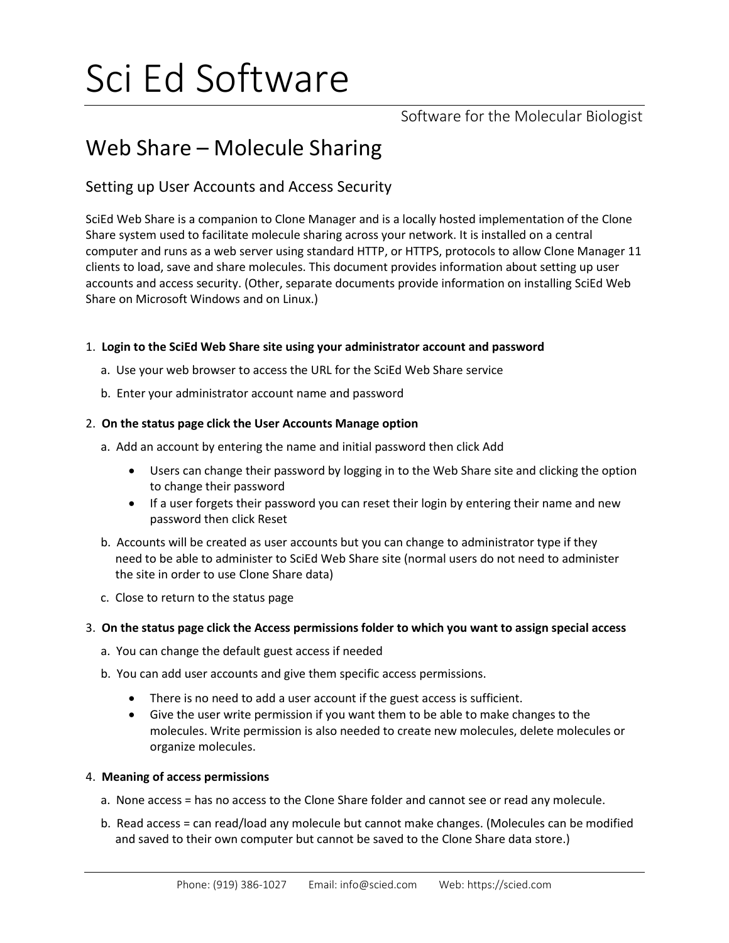# Sci Ed Software

Software for the Molecular Biologist

## Web Share – Molecule Sharing

### Setting up User Accounts and Access Security

SciEd Web Share is a companion to Clone Manager and is a locally hosted implementation of the Clone Share system used to facilitate molecule sharing across your network. It is installed on a central computer and runs as a web server using standard HTTP, or HTTPS, protocols to allow Clone Manager 11 clients to load, save and share molecules. This document provides information about setting up user accounts and access security. (Other, separate documents provide information on installing SciEd Web Share on Microsoft Windows and on Linux.)

#### 1. **Login to the SciEd Web Share site using your administrator account and password**

- a. Use your web browser to access the URL for the SciEd Web Share service
- b. Enter your administrator account name and password

#### 2. **On the status page click the User Accounts Manage option**

- a. Add an account by entering the name and initial password then click Add
	- Users can change their password by logging in to the Web Share site and clicking the option to change their password
	- If a user forgets their password you can reset their login by entering their name and new password then click Reset
- b. Accounts will be created as user accounts but you can change to administrator type if they need to be able to administer to SciEd Web Share site (normal users do not need to administer the site in order to use Clone Share data)
- c. Close to return to the status page

#### 3. **On the status page click the Access permissions folder to which you want to assign special access**

- a. You can change the default guest access if needed
- b. You can add user accounts and give them specific access permissions.
	- There is no need to add a user account if the guest access is sufficient.
	- Give the user write permission if you want them to be able to make changes to the molecules. Write permission is also needed to create new molecules, delete molecules or organize molecules.

#### 4. **Meaning of access permissions**

- a. None access = has no access to the Clone Share folder and cannot see or read any molecule.
- b. Read access = can read/load any molecule but cannot make changes. (Molecules can be modified and saved to their own computer but cannot be saved to the Clone Share data store.)